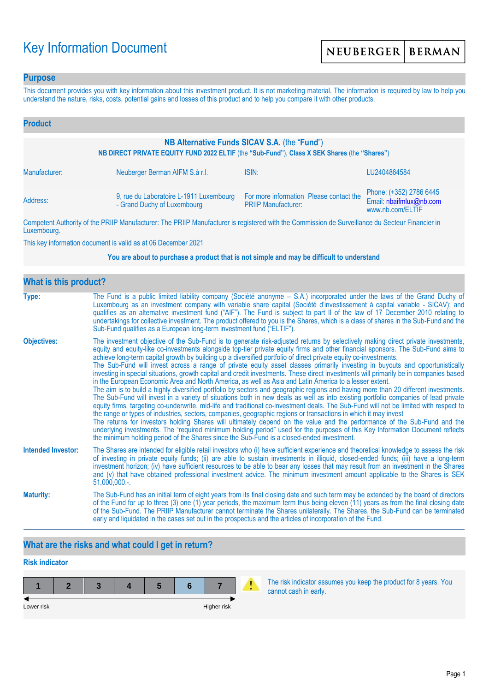# Key Information Document

### **Purpose**

This document provides you with key information about this investment product. It is not marketing material. The information is required by law to help you understand the nature, risks, costs, potential gains and losses of this product and to help you compare it with other products.

| <b>Product</b>                                                                                                                               |                                                                        |                                                                                                                 |                                                                        |  |  |  |
|----------------------------------------------------------------------------------------------------------------------------------------------|------------------------------------------------------------------------|-----------------------------------------------------------------------------------------------------------------|------------------------------------------------------------------------|--|--|--|
| NB Alternative Funds SICAV S.A. (the "Fund")<br>NB DIRECT PRIVATE EQUITY FUND 2022 ELTIF (the "Sub-Fund"), Class X SEK Shares (the "Shares") |                                                                        |                                                                                                                 |                                                                        |  |  |  |
| Manufacturer:                                                                                                                                | Neuberger Berman AIFM S.à r.l.                                         | ISIN:                                                                                                           | LU2404864584                                                           |  |  |  |
| Address:                                                                                                                                     | 9, rue du Laboratoire L-1911 Luxembourg<br>- Grand Duchy of Luxembourg | For more information Please contact the<br><b>PRIIP Manufacturer:</b>                                           | Phone: (+352) 2786 6445<br>Email: nbaifmlux@nb.com<br>www.nb.com/ELTIF |  |  |  |
|                                                                                                                                              |                                                                        | The property of the contract of the contract of the contract of the contract of the contract of the contract of |                                                                        |  |  |  |

Competent Authority of the PRIIP Manufacturer: The PRIIP Manufacturer is registered with the Commission de Surveillance du Secteur Financier in Luxembourg.

This key information document is valid as at 06 December 2021

#### **You are about to purchase a product that is not simple and may be difficult to understand**

| <b>What is this product?</b> |                                                                                                                                                                                                                                                                                                                                                                                                                                                                                                                                                                                                                                                                                                                                                                                                                                                                                                                                                                                                                                                                                                                                                                                                                                                                                                                                                                                                                                                                                                                                                                                                                                                                               |
|------------------------------|-------------------------------------------------------------------------------------------------------------------------------------------------------------------------------------------------------------------------------------------------------------------------------------------------------------------------------------------------------------------------------------------------------------------------------------------------------------------------------------------------------------------------------------------------------------------------------------------------------------------------------------------------------------------------------------------------------------------------------------------------------------------------------------------------------------------------------------------------------------------------------------------------------------------------------------------------------------------------------------------------------------------------------------------------------------------------------------------------------------------------------------------------------------------------------------------------------------------------------------------------------------------------------------------------------------------------------------------------------------------------------------------------------------------------------------------------------------------------------------------------------------------------------------------------------------------------------------------------------------------------------------------------------------------------------|
| Type:                        | The Fund is a public limited liability company (Société anonyme – S.A.) incorporated under the laws of the Grand Duchy of<br>Luxembourg as an investment company with variable share capital (Société d'investissement à capital variable - SICAV); and<br>qualifies as an alternative investment fund ("AIF"). The Fund is subject to part II of the law of 17 December 2010 relating to<br>undertakings for collective investment. The product offered to you is the Shares, which is a class of shares in the Sub-Fund and the<br>Sub-Fund qualifies as a European long-term investment fund ("ELTIF").                                                                                                                                                                                                                                                                                                                                                                                                                                                                                                                                                                                                                                                                                                                                                                                                                                                                                                                                                                                                                                                                    |
| <b>Objectives:</b>           | The investment objective of the Sub-Fund is to generate risk-adjusted returns by selectively making direct private investments,<br>equity and equity-like co-investments alongside top-tier private equity firms and other financial sponsors. The Sub-Fund aims to<br>achieve long-term capital growth by building up a diversified portfolio of direct private equity co-investments.<br>The Sub-Fund will invest across a range of private equity asset classes primarily investing in buyouts and opportunistically<br>investing in special situations, growth capital and credit investments. These direct investments will primarily be in companies based<br>in the European Economic Area and North America, as well as Asia and Latin America to a lesser extent.<br>The aim is to build a highly diversified portfolio by sectors and geographic regions and having more than 20 different investments.<br>The Sub-Fund will invest in a variety of situations both in new deals as well as into existing portfolio companies of lead private<br>equity firms, targeting co-underwrite, mid-life and traditional co-investment deals. The Sub-Fund will not be limited with respect to<br>the range or types of industries, sectors, companies, geographic regions or transactions in which it may invest<br>The returns for investors holding Shares will ultimately depend on the value and the performance of the Sub-Fund and the<br>underlying investments. The "required minimum holding period" used for the purposes of this Key Information Document reflects<br>the minimum holding period of the Shares since the Sub-Fund is a closed-ended investment. |
| <b>Intended Investor:</b>    | The Shares are intended for eligible retail investors who (i) have sufficient experience and theoretical knowledge to assess the risk<br>of investing in private equity funds; (ii) are able to sustain investments in illiquid, closed-ended funds; (iii) have a long-term<br>investment horizon; (iv) have sufficient resources to be able to bear any losses that may result from an investment in the Shares<br>and (v) that have obtained professional investment advice. The minimum investment amount applicable to the Shares is SEK<br>$51,000,000.$ -.                                                                                                                                                                                                                                                                                                                                                                                                                                                                                                                                                                                                                                                                                                                                                                                                                                                                                                                                                                                                                                                                                                              |
| <b>Maturity:</b>             | The Sub-Fund has an initial term of eight years from its final closing date and such term may be extended by the board of directors<br>of the Fund for up to three (3) one (1) year periods, the maximum term thus being eleven (11) years as from the final closing date<br>of the Sub-Fund. The PRIIP Manufacturer cannot terminate the Shares unilaterally. The Shares, the Sub-Fund can be terminated<br>early and liquidated in the cases set out in the prospectus and the articles of incorporation of the Fund.                                                                                                                                                                                                                                                                                                                                                                                                                                                                                                                                                                                                                                                                                                                                                                                                                                                                                                                                                                                                                                                                                                                                                       |

# **What are the risks and what could I get in return?**

# **Risk indicator**

| Lower risk |  |  | Higher risk |  |
|------------|--|--|-------------|--|

The risk indicator assumes you keep the product for 8 years. You cannot cash in early.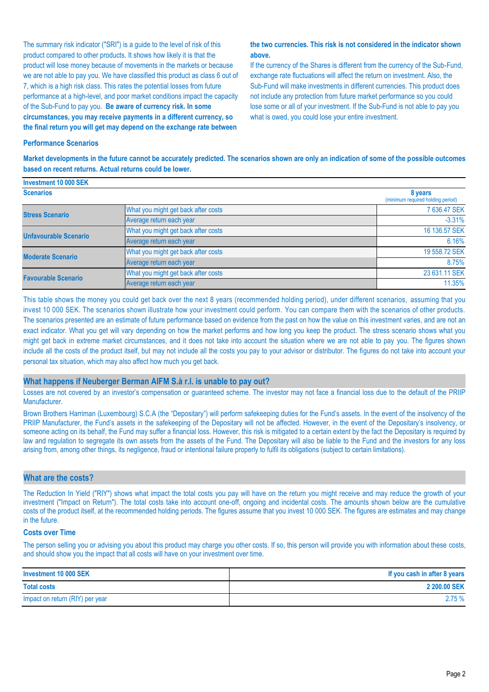The summary risk indicator ("SRI") is a guide to the level of risk of this product compared to other products. It shows how likely it is that the product will lose money because of movements in the markets or because we are not able to pay you. We have classified this product as class 6 out of 7, which is a high risk class. This rates the potential losses from future performance at a high-level, and poor market conditions impact the capacity of the Sub-Fund to pay you. **Be aware of currency risk. In some circumstances, you may receive payments in a different currency, so the final return you will get may depend on the exchange rate between** 

#### **the two currencies. This risk is not considered in the indicator shown above.**

If the currency of the Shares is different from the currency of the Sub-Fund, exchange rate fluctuations will affect the return on investment. Also, the Sub-Fund will make investments in different currencies. This product does not include any protection from future market performance so you could lose some or all of your investment. If the Sub-Fund is not able to pay you what is owed, you could lose your entire investment.

#### **Performance Scenarios**

**Investment 10 000 SEK**

**Market developments in the future cannot be accurately predicted. The scenarios shown are only an indication of some of the possible outcomes based on recent returns. Actual returns could be lower.**

| <b>INVESUNGIN TU UUU JEN</b> |                                              |               |
|------------------------------|----------------------------------------------|---------------|
| <b>Scenarios</b>             | 8 years<br>(minimum required holding period) |               |
| <b>Stress Scenario</b>       | What you might get back after costs          | 7 636.47 SEK  |
|                              | Average return each year                     | $-3.31%$      |
| <b>Unfavourable Scenario</b> | What you might get back after costs          | 16 136,57 SEK |
|                              | Average return each year                     | 6.16%         |
| <b>Moderate Scenario</b>     | What you might get back after costs          | 19 558.72 SEK |
|                              | Average return each year                     | 8.75%         |
| <b>Favourable Scenario</b>   | What you might get back after costs          | 23 631.11 SEK |
|                              | Average return each year                     | 11.35%        |

This table shows the money you could get back over the next 8 years (recommended holding period), under different scenarios, assuming that you invest 10 000 SEK. The scenarios shown illustrate how your investment could perform. You can compare them with the scenarios of other products. The scenarios presented are an estimate of future performance based on evidence from the past on how the value on this investment varies, and are not an exact indicator. What you get will vary depending on how the market performs and how long you keep the product. The stress scenario shows what you might get back in extreme market circumstances, and it does not take into account the situation where we are not able to pay you. The figures shown include all the costs of the product itself, but may not include all the costs you pay to your advisor or distributor. The figures do not take into account your personal tax situation, which may also affect how much you get back.

#### **What happens if Neuberger Berman AIFM S.à r.l. is unable to pay out?**

Losses are not covered by an investor's compensation or guaranteed scheme. The investor may not face a financial loss due to the default of the PRIIP Manufacturer.

Brown Brothers Harriman (Luxembourg) S.C.A (the "Depositary") will perform safekeeping duties for the Fund's assets. In the event of the insolvency of the PRIIP Manufacturer, the Fund's assets in the safekeeping of the Depositary will not be affected. However, in the event of the Depositary's insolvency, or someone acting on its behalf, the Fund may suffer a financial loss. However, this risk is mitigated to a certain extent by the fact the Depositary is required by law and regulation to segregate its own assets from the assets of the Fund. The Depositary will also be liable to the Fund and the investors for any loss arising from, among other things, its negligence, fraud or intentional failure properly to fulfil its obligations (subject to certain limitations).

#### **What are the costs?**

The Reduction In Yield ("RIY") shows what impact the total costs you pay will have on the return you might receive and may reduce the growth of your investment ("Impact on Return"). The total costs take into account one-off, ongoing and incidental costs. The amounts shown below are the cumulative costs of the product itself, at the recommended holding periods. The figures assume that you invest 10 000 SEK. The figures are estimates and may change in the future.

#### **Costs over Time**

The person selling you or advising you about this product may charge you other costs. If so, this person will provide you with information about these costs, and should show you the impact that all costs will have on your investment over time.

| Investment 10 000 SEK           | If you cash in after 8 years |
|---------------------------------|------------------------------|
| <b>Total costs</b>              | 2 200.00 SEK                 |
| Impact on return (RIY) per year | 2.75%                        |